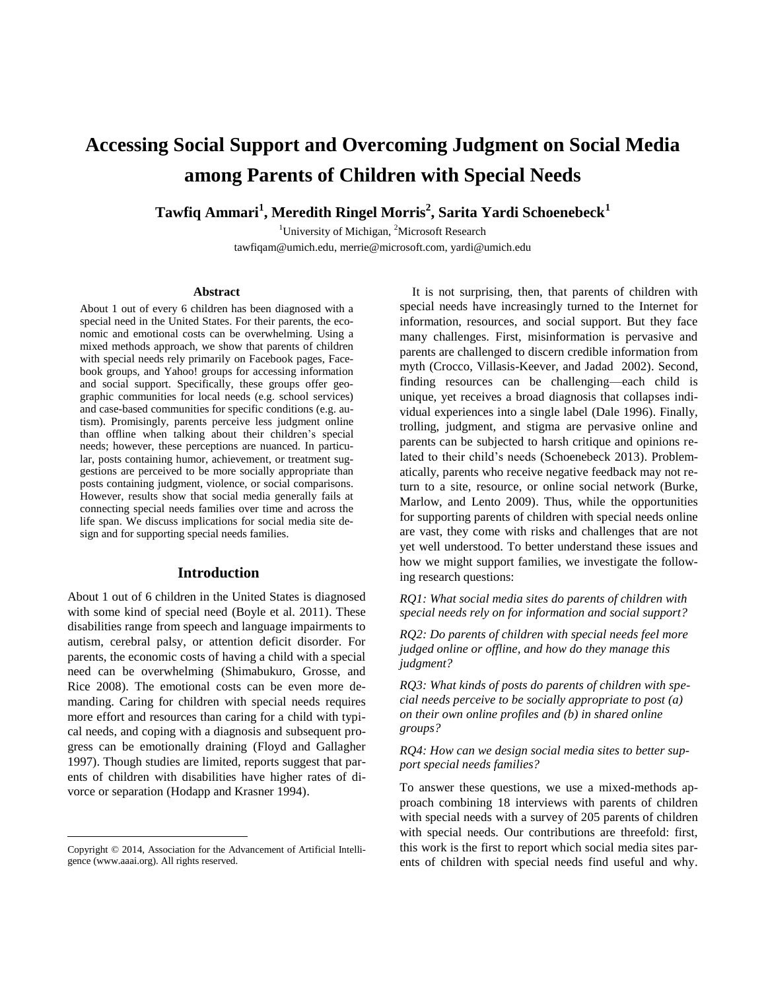# **Accessing Social Support and Overcoming Judgment on Social Media among Parents of Children with Special Needs**

**Tawfiq Ammari<sup>1</sup> , Meredith Ringel Morris<sup>2</sup> , Sarita Yardi Schoenebeck<sup>1</sup>**

<sup>1</sup>University of Michigan, <sup>2</sup>Microsoft Research tawfiqam@umich.edu, merrie@microsoft.com, yardi@umich.edu

#### **Abstract**

About 1 out of every 6 children has been diagnosed with a special need in the United States. For their parents, the economic and emotional costs can be overwhelming. Using a mixed methods approach, we show that parents of children with special needs rely primarily on Facebook pages, Facebook groups, and Yahoo! groups for accessing information and social support. Specifically, these groups offer geographic communities for local needs (e.g. school services) and case-based communities for specific conditions (e.g. autism). Promisingly, parents perceive less judgment online than offline when talking about their children's special needs; however, these perceptions are nuanced. In particular, posts containing humor, achievement, or treatment suggestions are perceived to be more socially appropriate than posts containing judgment, violence, or social comparisons. However, results show that social media generally fails at connecting special needs families over time and across the life span. We discuss implications for social media site design and for supporting special needs families.

## **Introduction**

About 1 out of 6 children in the United States is diagnosed with some kind of special need (Boyle et al. 2011). These disabilities range from speech and language impairments to autism, cerebral palsy, or attention deficit disorder. For parents, the economic costs of having a child with a special need can be overwhelming (Shimabukuro, Grosse, and Rice 2008). The emotional costs can be even more demanding. Caring for children with special needs requires more effort and resources than caring for a child with typical needs, and coping with a diagnosis and subsequent progress can be emotionally draining (Floyd and Gallagher 1997). Though studies are limited, reports suggest that parents of children with disabilities have higher rates of divorce or separation (Hodapp and Krasner 1994).

 $\overline{a}$ 

It is not surprising, then, that parents of children with special needs have increasingly turned to the Internet for information, resources, and social support. But they face many challenges. First, misinformation is pervasive and parents are challenged to discern credible information from myth (Crocco, Villasis-Keever, and Jadad 2002). Second, finding resources can be challenging—each child is unique, yet receives a broad diagnosis that collapses individual experiences into a single label (Dale 1996). Finally, trolling, judgment, and stigma are pervasive online and parents can be subjected to harsh critique and opinions related to their child's needs (Schoenebeck 2013). Problematically, parents who receive negative feedback may not return to a site, resource, or online social network (Burke, Marlow, and Lento 2009). Thus, while the opportunities for supporting parents of children with special needs online are vast, they come with risks and challenges that are not yet well understood. To better understand these issues and how we might support families, we investigate the following research questions:

*RQ1: What social media sites do parents of children with special needs rely on for information and social support?*

*RQ2: Do parents of children with special needs feel more judged online or offline, and how do they manage this judgment?* 

*RQ3: What kinds of posts do parents of children with special needs perceive to be socially appropriate to post (a) on their own online profiles and (b) in shared online groups?*

#### *RQ4: How can we design social media sites to better support special needs families?*

To answer these questions, we use a mixed-methods approach combining 18 interviews with parents of children with special needs with a survey of 205 parents of children with special needs. Our contributions are threefold: first, this work is the first to report which social media sites parents of children with special needs find useful and why.

Copyright © 2014, Association for the Advancement of Artificial Intelligence (www.aaai.org). All rights reserved.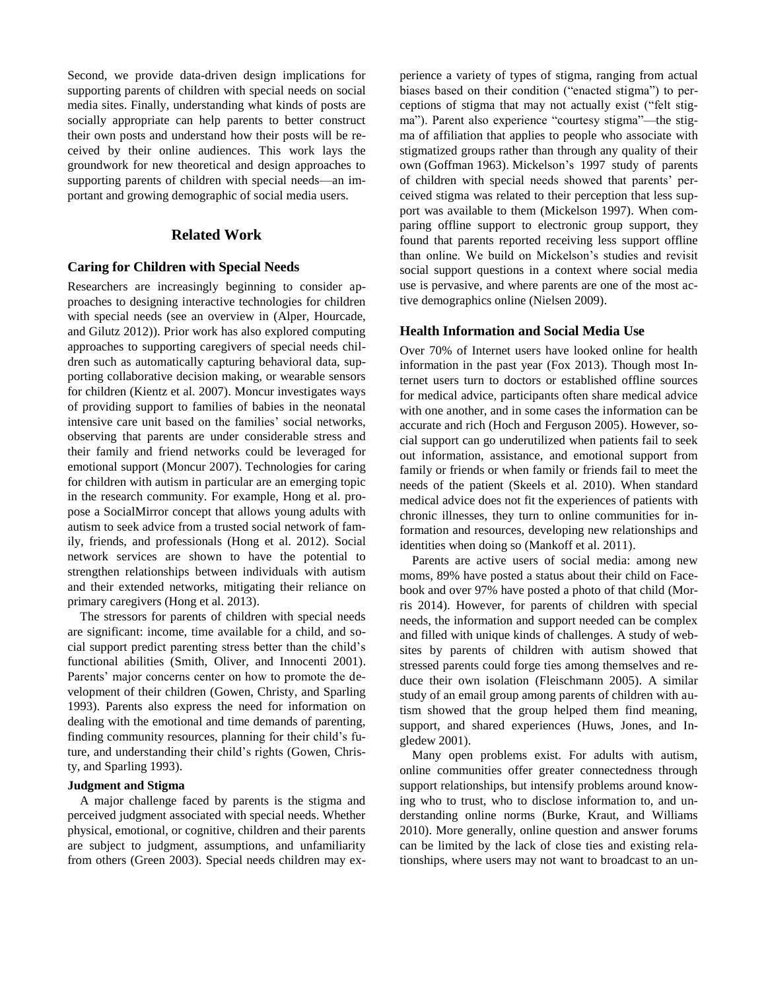Second, we provide data-driven design implications for supporting parents of children with special needs on social media sites. Finally, understanding what kinds of posts are socially appropriate can help parents to better construct their own posts and understand how their posts will be received by their online audiences. This work lays the groundwork for new theoretical and design approaches to supporting parents of children with special needs—an important and growing demographic of social media users.

# **Related Work**

## **Caring for Children with Special Needs**

Researchers are increasingly beginning to consider approaches to designing interactive technologies for children with special needs (see an overview in (Alper, Hourcade, and Gilutz 2012)). Prior work has also explored computing approaches to supporting caregivers of special needs children such as automatically capturing behavioral data, supporting collaborative decision making, or wearable sensors for children (Kientz et al. 2007). Moncur investigates ways of providing support to families of babies in the neonatal intensive care unit based on the families' social networks, observing that parents are under considerable stress and their family and friend networks could be leveraged for emotional support (Moncur 2007). Technologies for caring for children with autism in particular are an emerging topic in the research community. For example, Hong et al. propose a SocialMirror concept that allows young adults with autism to seek advice from a trusted social network of family, friends, and professionals (Hong et al. 2012). Social network services are shown to have the potential to strengthen relationships between individuals with autism and their extended networks, mitigating their reliance on primary caregivers (Hong et al. 2013).

The stressors for parents of children with special needs are significant: income, time available for a child, and social support predict parenting stress better than the child's functional abilities (Smith, Oliver, and Innocenti 2001). Parents' major concerns center on how to promote the development of their children (Gowen, Christy, and Sparling 1993). Parents also express the need for information on dealing with the emotional and time demands of parenting, finding community resources, planning for their child's future, and understanding their child's rights (Gowen, Christy, and Sparling 1993).

# **Judgment and Stigma**

A major challenge faced by parents is the stigma and perceived judgment associated with special needs. Whether physical, emotional, or cognitive, children and their parents are subject to judgment, assumptions, and unfamiliarity from others (Green 2003). Special needs children may experience a variety of types of stigma, ranging from actual biases based on their condition ("enacted stigma") to perceptions of stigma that may not actually exist ("felt stigma"). Parent also experience "courtesy stigma"—the stigma of affiliation that applies to people who associate with stigmatized groups rather than through any quality of their own (Goffman 1963). Mickelson's 1997 study of parents of children with special needs showed that parents' perceived stigma was related to their perception that less support was available to them (Mickelson 1997). When comparing offline support to electronic group support, they found that parents reported receiving less support offline than online. We build on Mickelson's studies and revisit social support questions in a context where social media use is pervasive, and where parents are one of the most active demographics online (Nielsen 2009).

## **Health Information and Social Media Use**

Over 70% of Internet users have looked online for health information in the past year (Fox 2013). Though most Internet users turn to doctors or established offline sources for medical advice, participants often share medical advice with one another, and in some cases the information can be accurate and rich (Hoch and Ferguson 2005). However, social support can go underutilized when patients fail to seek out information, assistance, and emotional support from family or friends or when family or friends fail to meet the needs of the patient (Skeels et al. 2010). When standard medical advice does not fit the experiences of patients with chronic illnesses, they turn to online communities for information and resources, developing new relationships and identities when doing so (Mankoff et al. 2011).

Parents are active users of social media: among new moms, 89% have posted a status about their child on Facebook and over 97% have posted a photo of that child (Morris 2014). However, for parents of children with special needs, the information and support needed can be complex and filled with unique kinds of challenges. A study of websites by parents of children with autism showed that stressed parents could forge ties among themselves and reduce their own isolation (Fleischmann 2005). A similar study of an email group among parents of children with autism showed that the group helped them find meaning, support, and shared experiences (Huws, Jones, and Ingledew 2001).

Many open problems exist. For adults with autism, online communities offer greater connectedness through support relationships, but intensify problems around knowing who to trust, who to disclose information to, and understanding online norms (Burke, Kraut, and Williams 2010). More generally, online question and answer forums can be limited by the lack of close ties and existing relationships, where users may not want to broadcast to an un-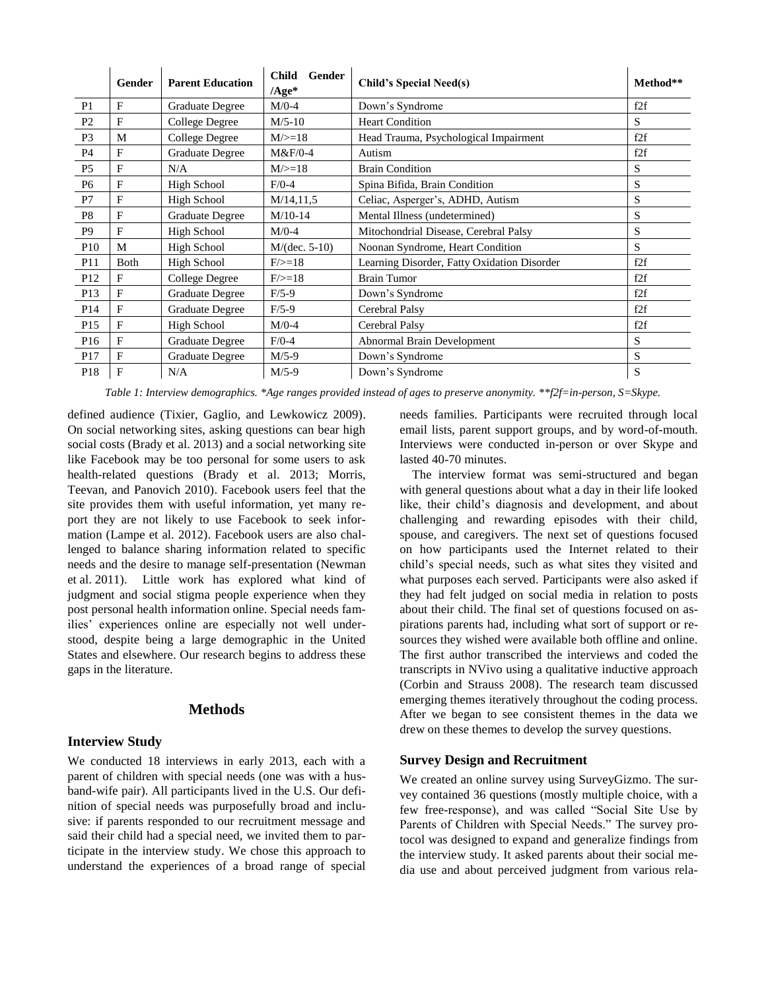|                 | <b>Gender</b> | <b>Parent Education</b> | <b>Child</b><br>Gender<br>$/Age*$ | <b>Child's Special Need(s)</b>              | Method** |
|-----------------|---------------|-------------------------|-----------------------------------|---------------------------------------------|----------|
| P <sub>1</sub>  | F             | <b>Graduate Degree</b>  | $M/0-4$                           | Down's Syndrome                             | f2f      |
| P <sub>2</sub>  | F             | College Degree          | $M/5-10$                          | <b>Heart Condition</b>                      | S        |
| P <sub>3</sub>  | M             | College Degree          | $M/>=18$                          | Head Trauma, Psychological Impairment       | f2f      |
| <b>P4</b>       | F             | Graduate Degree         | $M&F/0-4$                         | Autism                                      | f2f      |
| P <sub>5</sub>  | F             | N/A                     | $M/>=18$                          | <b>Brain Condition</b>                      | S        |
| P <sub>6</sub>  | F             | High School             | $F/0-4$                           | Spina Bifida, Brain Condition               | S        |
| P7              | F             | <b>High School</b>      | M/14, 11, 5                       | Celiac, Asperger's, ADHD, Autism            | S        |
| P <sub>8</sub>  | F             | <b>Graduate Degree</b>  | $M/10-14$                         | Mental Illness (undetermined)               | S        |
| P <sub>9</sub>  | F             | <b>High School</b>      | $M/0-4$                           | Mitochondrial Disease, Cerebral Palsy       | S        |
| P <sub>10</sub> | M             | High School             | $M/(dec. 5-10)$                   | Noonan Syndrome, Heart Condition            | S        |
| <b>P11</b>      | Both          | High School             | $F/\geq 18$                       | Learning Disorder, Fatty Oxidation Disorder | f2f      |
| P <sub>12</sub> | F             | College Degree          | $F/\geq 18$                       | <b>Brain Tumor</b>                          | f2f      |
| P13             | F             | Graduate Degree         | $F/5-9$                           | Down's Syndrome                             | f2f      |
| P <sub>14</sub> | F             | <b>Graduate Degree</b>  | $F/5-9$                           | Cerebral Palsy                              | f2f      |
| P15             | F             | <b>High School</b>      | $M/0-4$                           | Cerebral Palsy                              | f2f      |
| P <sub>16</sub> | F             | <b>Graduate Degree</b>  | $F/0-4$                           | Abnormal Brain Development                  | S        |
| P17             | F             | <b>Graduate Degree</b>  | $M/5-9$                           | Down's Syndrome                             | S        |
| P18             | F             | N/A                     | $M/5-9$                           | Down's Syndrome                             | S        |

*Table 1: Interview demographics. \*Age ranges provided instead of ages to preserve anonymity. \*\*f2f=in-person, S=Skype.*

defined audience (Tixier, Gaglio, and Lewkowicz 2009). On social networking sites, asking questions can bear high social costs (Brady et al. 2013) and a social networking site like Facebook may be too personal for some users to ask health-related questions (Brady et al. 2013; Morris, Teevan, and Panovich 2010). Facebook users feel that the site provides them with useful information, yet many report they are not likely to use Facebook to seek information (Lampe et al. 2012). Facebook users are also challenged to balance sharing information related to specific needs and the desire to manage self-presentation (Newman et al. 2011). Little work has explored what kind of judgment and social stigma people experience when they post personal health information online. Special needs families' experiences online are especially not well understood, despite being a large demographic in the United States and elsewhere. Our research begins to address these gaps in the literature.

## **Methods**

## **Interview Study**

We conducted 18 interviews in early 2013, each with a parent of children with special needs (one was with a husband-wife pair). All participants lived in the U.S. Our definition of special needs was purposefully broad and inclusive: if parents responded to our recruitment message and said their child had a special need, we invited them to participate in the interview study. We chose this approach to understand the experiences of a broad range of special needs families. Participants were recruited through local email lists, parent support groups, and by word-of-mouth. Interviews were conducted in-person or over Skype and lasted 40-70 minutes.

The interview format was semi-structured and began with general questions about what a day in their life looked like, their child's diagnosis and development, and about challenging and rewarding episodes with their child, spouse, and caregivers. The next set of questions focused on how participants used the Internet related to their child's special needs, such as what sites they visited and what purposes each served. Participants were also asked if they had felt judged on social media in relation to posts about their child. The final set of questions focused on aspirations parents had, including what sort of support or resources they wished were available both offline and online. The first author transcribed the interviews and coded the transcripts in NVivo using a qualitative inductive approach (Corbin and Strauss 2008). The research team discussed emerging themes iteratively throughout the coding process. After we began to see consistent themes in the data we drew on these themes to develop the survey questions.

## **Survey Design and Recruitment**

We created an online survey using SurveyGizmo. The survey contained 36 questions (mostly multiple choice, with a few free-response), and was called "Social Site Use by Parents of Children with Special Needs." The survey protocol was designed to expand and generalize findings from the interview study. It asked parents about their social media use and about perceived judgment from various rela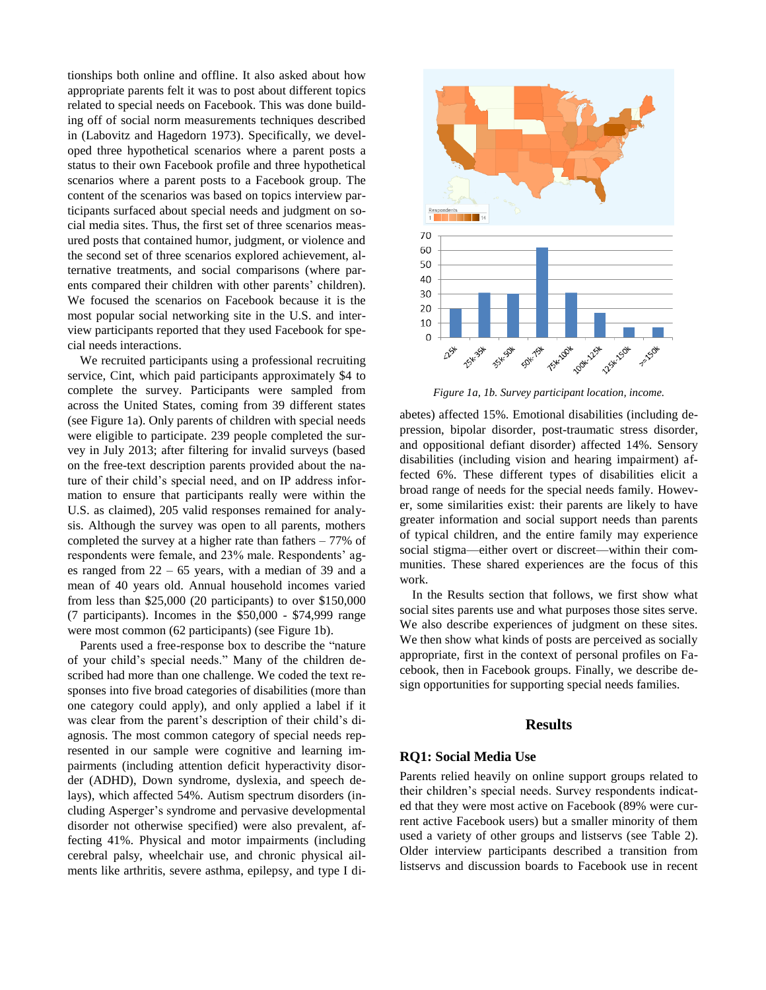tionships both online and offline. It also asked about how appropriate parents felt it was to post about different topics related to special needs on Facebook. This was done building off of social norm measurements techniques described in (Labovitz and Hagedorn 1973). Specifically, we developed three hypothetical scenarios where a parent posts a status to their own Facebook profile and three hypothetical scenarios where a parent posts to a Facebook group. The content of the scenarios was based on topics interview participants surfaced about special needs and judgment on social media sites. Thus, the first set of three scenarios measured posts that contained humor, judgment, or violence and the second set of three scenarios explored achievement, alternative treatments, and social comparisons (where parents compared their children with other parents' children). We focused the scenarios on Facebook because it is the most popular social networking site in the U.S. and interview participants reported that they used Facebook for special needs interactions.

We recruited participants using a professional recruiting service, Cint, which paid participants approximately \$4 to complete the survey. Participants were sampled from across the United States, coming from 39 different states (see Figure 1a). Only parents of children with special needs were eligible to participate. 239 people completed the survey in July 2013; after filtering for invalid surveys (based on the free-text description parents provided about the nature of their child's special need, and on IP address information to ensure that participants really were within the U.S. as claimed), 205 valid responses remained for analysis. Although the survey was open to all parents, mothers completed the survey at a higher rate than fathers – 77% of respondents were female, and 23% male. Respondents' ages ranged from 22 – 65 years, with a median of 39 and a mean of 40 years old. Annual household incomes varied from less than \$25,000 (20 participants) to over \$150,000 (7 participants). Incomes in the \$50,000 - \$74,999 range were most common (62 participants) (see Figure 1b).

Parents used a free-response box to describe the "nature of your child's special needs." Many of the children described had more than one challenge. We coded the text responses into five broad categories of disabilities (more than one category could apply), and only applied a label if it was clear from the parent's description of their child's diagnosis. The most common category of special needs represented in our sample were cognitive and learning impairments (including attention deficit hyperactivity disorder (ADHD), Down syndrome, dyslexia, and speech delays), which affected 54%. Autism spectrum disorders (including Asperger's syndrome and pervasive developmental disorder not otherwise specified) were also prevalent, affecting 41%. Physical and motor impairments (including cerebral palsy, wheelchair use, and chronic physical ailments like arthritis, severe asthma, epilepsy, and type I di-



*Figure 1a, 1b. Survey participant location, income.* 

abetes) affected 15%. Emotional disabilities (including depression, bipolar disorder, post-traumatic stress disorder, and oppositional defiant disorder) affected 14%. Sensory disabilities (including vision and hearing impairment) affected 6%. These different types of disabilities elicit a broad range of needs for the special needs family. However, some similarities exist: their parents are likely to have greater information and social support needs than parents of typical children, and the entire family may experience social stigma—either overt or discreet—within their communities. These shared experiences are the focus of this work.

In the Results section that follows, we first show what social sites parents use and what purposes those sites serve. We also describe experiences of judgment on these sites. We then show what kinds of posts are perceived as socially appropriate, first in the context of personal profiles on Facebook, then in Facebook groups. Finally, we describe design opportunities for supporting special needs families.

# **Results**

#### **RQ1: Social Media Use**

Parents relied heavily on online support groups related to their children's special needs. Survey respondents indicated that they were most active on Facebook (89% were current active Facebook users) but a smaller minority of them used a variety of other groups and listservs (see Table 2). Older interview participants described a transition from listservs and discussion boards to Facebook use in recent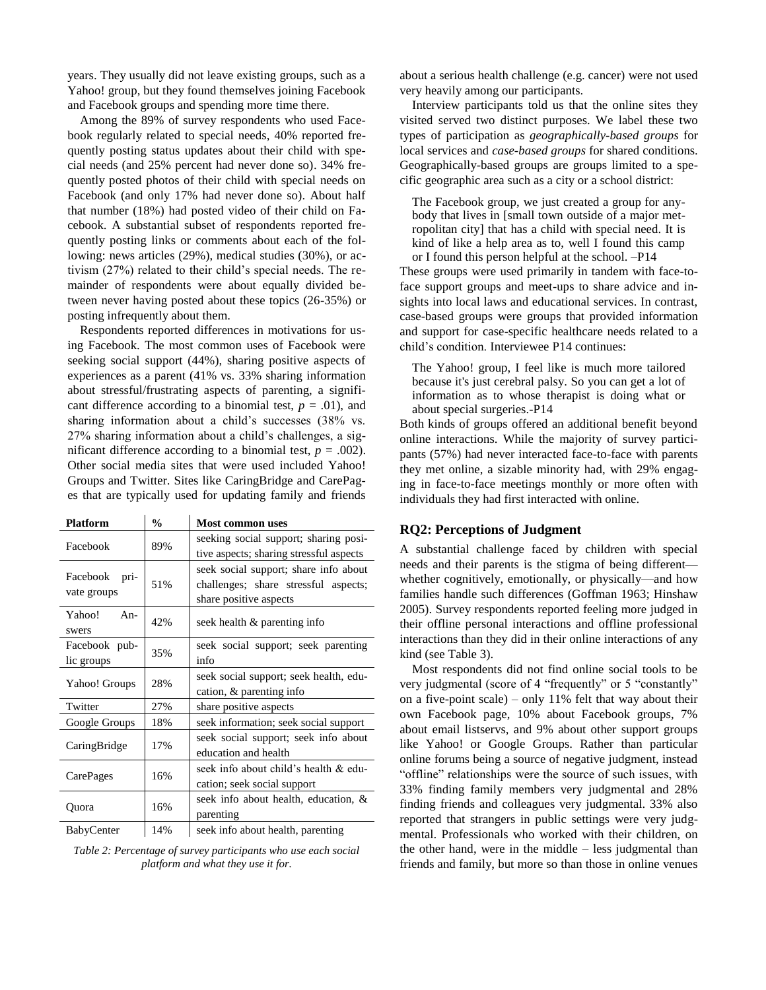years. They usually did not leave existing groups, such as a Yahoo! group, but they found themselves joining Facebook and Facebook groups and spending more time there.

Among the 89% of survey respondents who used Facebook regularly related to special needs, 40% reported frequently posting status updates about their child with special needs (and 25% percent had never done so). 34% frequently posted photos of their child with special needs on Facebook (and only 17% had never done so). About half that number (18%) had posted video of their child on Facebook. A substantial subset of respondents reported frequently posting links or comments about each of the following: news articles (29%), medical studies (30%), or activism (27%) related to their child's special needs. The remainder of respondents were about equally divided between never having posted about these topics (26-35%) or posting infrequently about them.

Respondents reported differences in motivations for using Facebook. The most common uses of Facebook were seeking social support (44%), sharing positive aspects of experiences as a parent (41% vs. 33% sharing information about stressful/frustrating aspects of parenting, a significant difference according to a binomial test,  $p = .01$ ), and sharing information about a child's successes (38% vs. 27% sharing information about a child's challenges, a significant difference according to a binomial test,  $p = .002$ ). Other social media sites that were used included Yahoo! Groups and Twitter. Sites like CaringBridge and CarePages that are typically used for updating family and friends

| <b>Platform</b>                 | $\frac{0}{0}$ | <b>Most common uses</b>                                                                                 |  |
|---------------------------------|---------------|---------------------------------------------------------------------------------------------------------|--|
| Facebook                        | 89%           | seeking social support; sharing posi-<br>tive aspects; sharing stressful aspects                        |  |
| Facebook<br>pri-<br>vate groups | 51%           | seek social support; share info about<br>challenges; share stressful aspects;<br>share positive aspects |  |
| Yahoo!<br>$An-$<br>swers        | 42%           | seek health & parenting info                                                                            |  |
| Facebook pub-<br>lic groups     | 35%           | seek social support; seek parenting<br>info                                                             |  |
| Yahoo! Groups                   | 28%           | seek social support; seek health, edu-<br>cation, & parenting info                                      |  |
| Twitter                         | 27%           | share positive aspects                                                                                  |  |
| Google Groups                   | 18%           | seek information; seek social support                                                                   |  |
| CaringBridge                    | 17%           | seek social support; seek info about<br>education and health                                            |  |
| CarePages                       | 16%           | seek info about child's health & edu-<br>cation; seek social support                                    |  |
| Quora                           | 16%           | seek info about health, education, &<br>parenting                                                       |  |
| BabyCenter                      | 14%           | seek info about health, parenting                                                                       |  |

*Table 2: Percentage of survey participants who use each social platform and what they use it for.*

about a serious health challenge (e.g. cancer) were not used very heavily among our participants.

Interview participants told us that the online sites they visited served two distinct purposes. We label these two types of participation as *geographically-based groups* for local services and *case-based groups* for shared conditions. Geographically-based groups are groups limited to a specific geographic area such as a city or a school district:

The Facebook group, we just created a group for anybody that lives in [small town outside of a major metropolitan city] that has a child with special need. It is kind of like a help area as to, well I found this camp or I found this person helpful at the school. –P14 These groups were used primarily in tandem with face-toface support groups and meet-ups to share advice and insights into local laws and educational services. In contrast, case-based groups were groups that provided information and support for case-specific healthcare needs related to a child's condition. Interviewee P14 continues:

The Yahoo! group, I feel like is much more tailored because it's just cerebral palsy. So you can get a lot of information as to whose therapist is doing what or about special surgeries.-P14

Both kinds of groups offered an additional benefit beyond online interactions. While the majority of survey participants (57%) had never interacted face-to-face with parents they met online, a sizable minority had, with 29% engaging in face-to-face meetings monthly or more often with individuals they had first interacted with online.

#### **RQ2: Perceptions of Judgment**

A substantial challenge faced by children with special needs and their parents is the stigma of being different whether cognitively, emotionally, or physically—and how families handle such differences (Goffman 1963; Hinshaw 2005). Survey respondents reported feeling more judged in their offline personal interactions and offline professional interactions than they did in their online interactions of any kind (see Table 3).

Most respondents did not find online social tools to be very judgmental (score of 4 "frequently" or 5 "constantly" on a five-point scale) – only 11% felt that way about their own Facebook page, 10% about Facebook groups, 7% about email listservs, and 9% about other support groups like Yahoo! or Google Groups. Rather than particular online forums being a source of negative judgment, instead "offline" relationships were the source of such issues, with 33% finding family members very judgmental and 28% finding friends and colleagues very judgmental. 33% also reported that strangers in public settings were very judgmental. Professionals who worked with their children, on the other hand, were in the middle – less judgmental than friends and family, but more so than those in online venues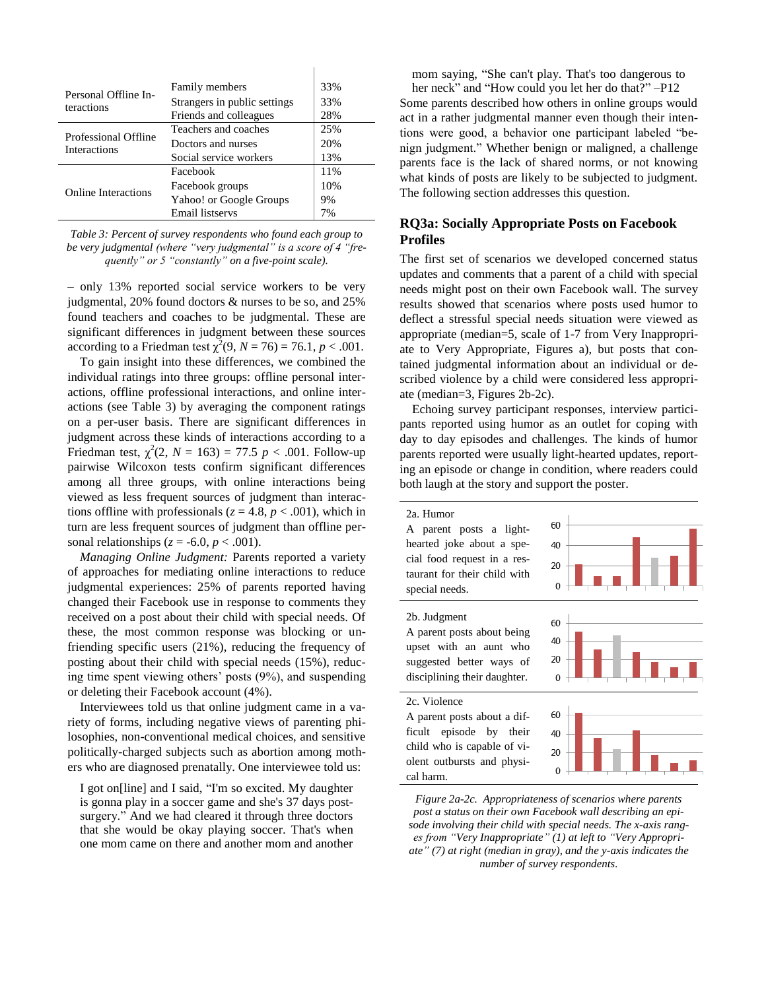| Personal Offline In-<br>teractions | Family members<br>Strangers in public settings<br>Friends and colleagues | 33%<br>33%<br>28% |
|------------------------------------|--------------------------------------------------------------------------|-------------------|
| Professional Offline               | Teachers and coaches                                                     | 25%               |
| <b>Interactions</b>                | Doctors and nurses                                                       | 20%               |
|                                    | Social service workers                                                   | 13%               |
|                                    | Facebook                                                                 | 11%               |
| Online Interactions                | Facebook groups                                                          | 10%               |
|                                    | Yahoo! or Google Groups                                                  | 9%                |
|                                    | Email listservs                                                          | 7%                |

*Table 3: Percent of survey respondents who found each group to be very judgmental (where "very judgmental" is a score of 4 "frequently" or 5 "constantly" on a five-point scale).* 

– only 13% reported social service workers to be very judgmental, 20% found doctors & nurses to be so, and 25% found teachers and coaches to be judgmental. These are significant differences in judgment between these sources according to a Friedman test  $\chi^2(9, N = 76) = 76.1, p < .001$ .

To gain insight into these differences, we combined the individual ratings into three groups: offline personal interactions, offline professional interactions, and online interactions (see Table 3) by averaging the component ratings on a per-user basis. There are significant differences in judgment across these kinds of interactions according to a Friedman test,  $\chi^2(2, N = 163) = 77.5 \, p < .001$ . Follow-up pairwise Wilcoxon tests confirm significant differences among all three groups, with online interactions being viewed as less frequent sources of judgment than interactions offline with professionals ( $z = 4.8$ ,  $p < .001$ ), which in turn are less frequent sources of judgment than offline personal relationships ( $z = -6.0$ ,  $p < .001$ ).

*Managing Online Judgment:* Parents reported a variety of approaches for mediating online interactions to reduce judgmental experiences: 25% of parents reported having changed their Facebook use in response to comments they received on a post about their child with special needs. Of these, the most common response was blocking or unfriending specific users (21%), reducing the frequency of posting about their child with special needs (15%), reducing time spent viewing others' posts (9%), and suspending or deleting their Facebook account (4%).

Interviewees told us that online judgment came in a variety of forms, including negative views of parenting philosophies, non-conventional medical choices, and sensitive politically-charged subjects such as abortion among mothers who are diagnosed prenatally. One interviewee told us:

I got on[line] and I said, "I'm so excited. My daughter is gonna play in a soccer game and she's 37 days postsurgery." And we had cleared it through three doctors that she would be okay playing soccer. That's when one mom came on there and another mom and another

mom saying, "She can't play. That's too dangerous to her neck" and "How could you let her do that?" –P12 Some parents described how others in online groups would act in a rather judgmental manner even though their intentions were good, a behavior one participant labeled "benign judgment." Whether benign or maligned, a challenge parents face is the lack of shared norms, or not knowing what kinds of posts are likely to be subjected to judgment. The following section addresses this question.

# **RQ3a: Socially Appropriate Posts on Facebook Profiles**

The first set of scenarios we developed concerned status updates and comments that a parent of a child with special needs might post on their own Facebook wall. The survey results showed that scenarios where posts used humor to deflect a stressful special needs situation were viewed as appropriate (median=5, scale of 1-7 from Very Inappropriate to Very Appropriate, Figures a), but posts that contained judgmental information about an individual or described violence by a child were considered less appropriate (median=3, Figures 2b-2c).

Echoing survey participant responses, interview participants reported using humor as an outlet for coping with day to day episodes and challenges. The kinds of humor parents reported were usually light-hearted updates, reporting an episode or change in condition, where readers could both laugh at the story and support the poster.



*Figure 2a-2c. Appropriateness of scenarios where parents post a status on their own Facebook wall describing an episode involving their child with special needs. The x-axis ranges from "Very Inappropriate" (1) at left to "Very Appropriate" (7) at right (median in gray), and the y-axis indicates the number of survey respondents.*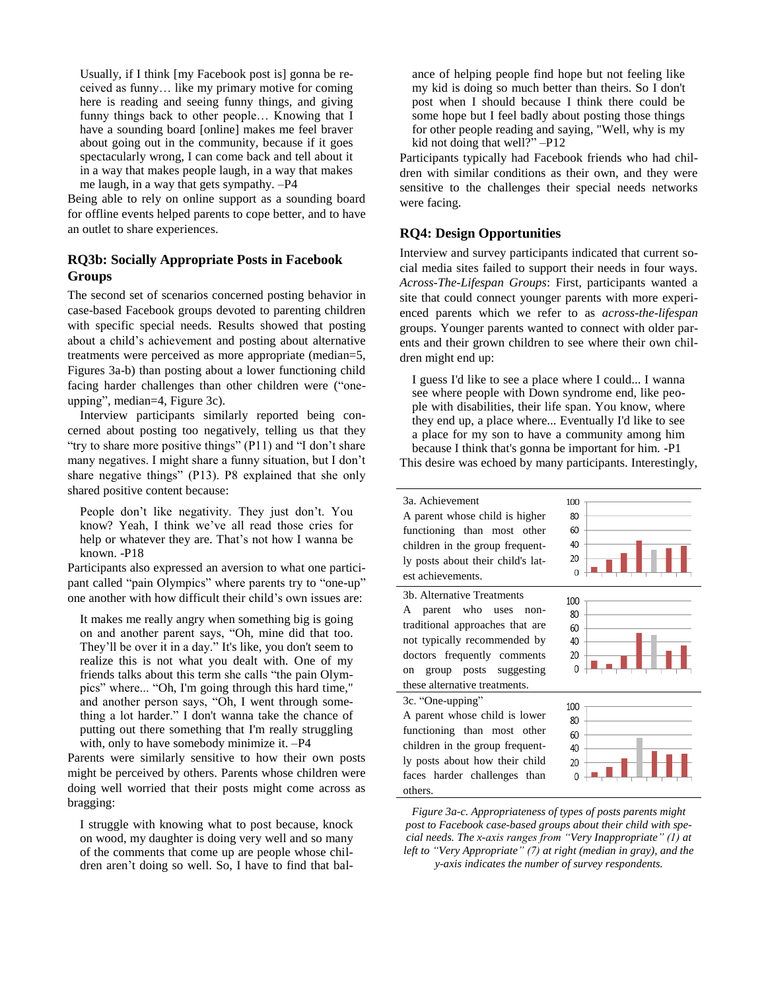Usually, if I think [my Facebook post is] gonna be received as funny… like my primary motive for coming here is reading and seeing funny things, and giving funny things back to other people… Knowing that I have a sounding board [online] makes me feel braver about going out in the community, because if it goes spectacularly wrong, I can come back and tell about it in a way that makes people laugh, in a way that makes me laugh, in a way that gets sympathy. –P4

Being able to rely on online support as a sounding board for offline events helped parents to cope better, and to have an outlet to share experiences.

# **RQ3b: Socially Appropriate Posts in Facebook Groups**

The second set of scenarios concerned posting behavior in case-based Facebook groups devoted to parenting children with specific special needs. Results showed that posting about a child's achievement and posting about alternative treatments were perceived as more appropriate (median=5, Figures 3a-b) than posting about a lower functioning child facing harder challenges than other children were ("oneupping", median=4, Figure 3c).

Interview participants similarly reported being concerned about posting too negatively, telling us that they "try to share more positive things" (P11) and "I don't share many negatives. I might share a funny situation, but I don't share negative things" (P13). P8 explained that she only shared positive content because:

People don't like negativity. They just don't. You know? Yeah, I think we've all read those cries for help or whatever they are. That's not how I wanna be known. -P18

Participants also expressed an aversion to what one participant called "pain Olympics" where parents try to "one-up" one another with how difficult their child's own issues are:

It makes me really angry when something big is going on and another parent says, "Oh, mine did that too. They'll be over it in a day." It's like, you don't seem to realize this is not what you dealt with. One of my friends talks about this term she calls "the pain Olympics" where... "Oh, I'm going through this hard time," and another person says, "Oh, I went through something a lot harder." I don't wanna take the chance of putting out there something that I'm really struggling with, only to have somebody minimize it. –P4

Parents were similarly sensitive to how their own posts might be perceived by others. Parents whose children were doing well worried that their posts might come across as bragging:

I struggle with knowing what to post because, knock on wood, my daughter is doing very well and so many of the comments that come up are people whose children aren't doing so well. So, I have to find that balance of helping people find hope but not feeling like my kid is doing so much better than theirs. So I don't post when I should because I think there could be some hope but I feel badly about posting those things for other people reading and saying, "Well, why is my kid not doing that well?" -P12

Participants typically had Facebook friends who had children with similar conditions as their own, and they were sensitive to the challenges their special needs networks were facing.

# **RQ4: Design Opportunities**

Interview and survey participants indicated that current social media sites failed to support their needs in four ways. *Across-The-Lifespan Groups*: First, participants wanted a site that could connect younger parents with more experienced parents which we refer to as *across-the-lifespan* groups. Younger parents wanted to connect with older parents and their grown children to see where their own children might end up:

I guess I'd like to see a place where I could... I wanna see where people with Down syndrome end, like people with disabilities, their life span. You know, where they end up, a place where... Eventually I'd like to see a place for my son to have a community among him because I think that's gonna be important for him. -P1 This desire was echoed by many participants. Interestingly,



*Figure 3a-c. Appropriateness of types of posts parents might post to Facebook case-based groups about their child with special needs. The x-axis ranges from "Very Inappropriate" (1) at left to "Very Appropriate" (7) at right (median in gray), and the y-axis indicates the number of survey respondents.*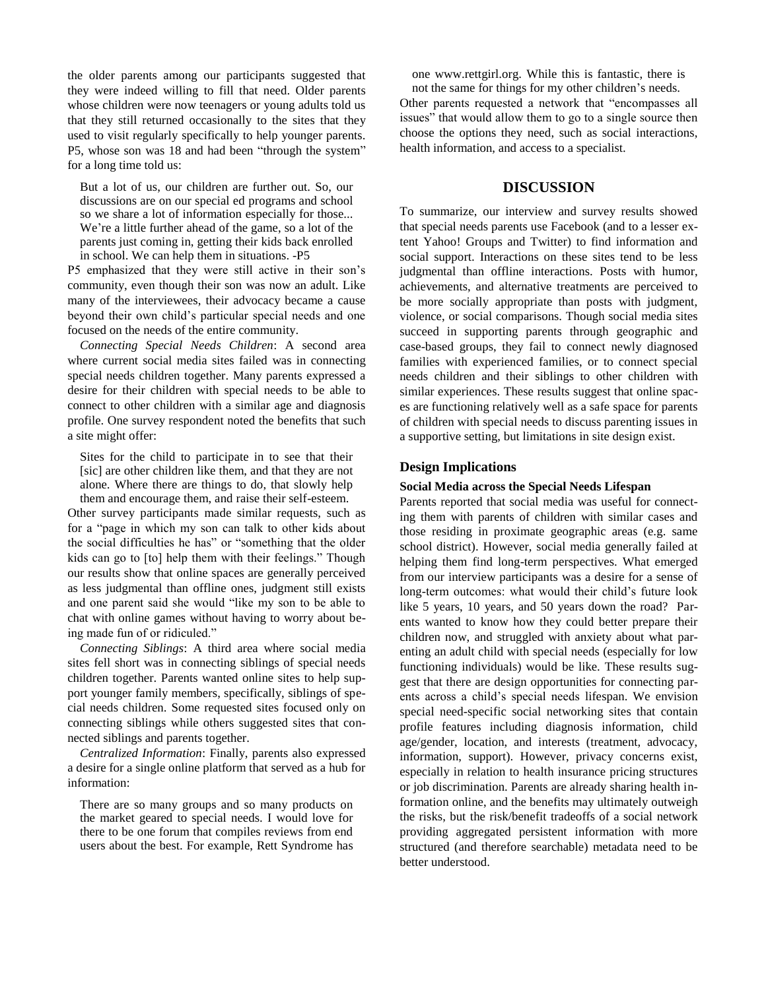the older parents among our participants suggested that they were indeed willing to fill that need. Older parents whose children were now teenagers or young adults told us that they still returned occasionally to the sites that they used to visit regularly specifically to help younger parents. P5, whose son was 18 and had been "through the system" for a long time told us:

But a lot of us, our children are further out. So, our discussions are on our special ed programs and school so we share a lot of information especially for those... We're a little further ahead of the game, so a lot of the parents just coming in, getting their kids back enrolled in school. We can help them in situations. -P5

P5 emphasized that they were still active in their son's community, even though their son was now an adult. Like many of the interviewees, their advocacy became a cause beyond their own child's particular special needs and one focused on the needs of the entire community.

*Connecting Special Needs Children*: A second area where current social media sites failed was in connecting special needs children together. Many parents expressed a desire for their children with special needs to be able to connect to other children with a similar age and diagnosis profile. One survey respondent noted the benefits that such a site might offer:

Sites for the child to participate in to see that their [sic] are other children like them, and that they are not alone. Where there are things to do, that slowly help them and encourage them, and raise their self-esteem.

Other survey participants made similar requests, such as for a "page in which my son can talk to other kids about the social difficulties he has" or "something that the older kids can go to [to] help them with their feelings." Though our results show that online spaces are generally perceived as less judgmental than offline ones, judgment still exists and one parent said she would "like my son to be able to chat with online games without having to worry about being made fun of or ridiculed."

*Connecting Siblings*: A third area where social media sites fell short was in connecting siblings of special needs children together. Parents wanted online sites to help support younger family members, specifically, siblings of special needs children. Some requested sites focused only on connecting siblings while others suggested sites that connected siblings and parents together.

*Centralized Information*: Finally, parents also expressed a desire for a single online platform that served as a hub for information:

There are so many groups and so many products on the market geared to special needs. I would love for there to be one forum that compiles reviews from end users about the best. For example, Rett Syndrome has

one www.rettgirl.org. While this is fantastic, there is not the same for things for my other children's needs. Other parents requested a network that "encompasses all issues" that would allow them to go to a single source then choose the options they need, such as social interactions, health information, and access to a specialist.

## **DISCUSSION**

To summarize, our interview and survey results showed that special needs parents use Facebook (and to a lesser extent Yahoo! Groups and Twitter) to find information and social support. Interactions on these sites tend to be less judgmental than offline interactions. Posts with humor, achievements, and alternative treatments are perceived to be more socially appropriate than posts with judgment, violence, or social comparisons. Though social media sites succeed in supporting parents through geographic and case-based groups, they fail to connect newly diagnosed families with experienced families, or to connect special needs children and their siblings to other children with similar experiences. These results suggest that online spaces are functioning relatively well as a safe space for parents of children with special needs to discuss parenting issues in a supportive setting, but limitations in site design exist.

## **Design Implications**

#### **Social Media across the Special Needs Lifespan**

Parents reported that social media was useful for connecting them with parents of children with similar cases and those residing in proximate geographic areas (e.g. same school district). However, social media generally failed at helping them find long-term perspectives. What emerged from our interview participants was a desire for a sense of long-term outcomes: what would their child's future look like 5 years, 10 years, and 50 years down the road? Parents wanted to know how they could better prepare their children now, and struggled with anxiety about what parenting an adult child with special needs (especially for low functioning individuals) would be like. These results suggest that there are design opportunities for connecting parents across a child's special needs lifespan. We envision special need-specific social networking sites that contain profile features including diagnosis information, child age/gender, location, and interests (treatment, advocacy, information, support). However, privacy concerns exist, especially in relation to health insurance pricing structures or job discrimination. Parents are already sharing health information online, and the benefits may ultimately outweigh the risks, but the risk/benefit tradeoffs of a social network providing aggregated persistent information with more structured (and therefore searchable) metadata need to be better understood.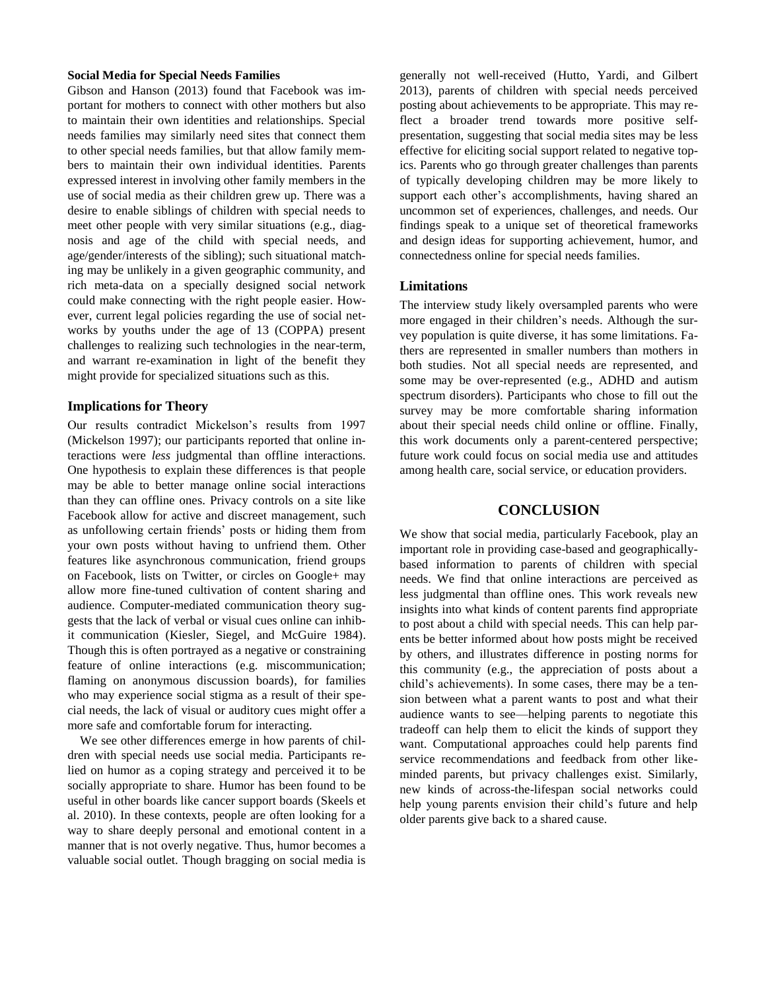#### **Social Media for Special Needs Families**

Gibson and Hanson (2013) found that Facebook was important for mothers to connect with other mothers but also to maintain their own identities and relationships. Special needs families may similarly need sites that connect them to other special needs families, but that allow family members to maintain their own individual identities. Parents expressed interest in involving other family members in the use of social media as their children grew up. There was a desire to enable siblings of children with special needs to meet other people with very similar situations (e.g., diagnosis and age of the child with special needs, and age/gender/interests of the sibling); such situational matching may be unlikely in a given geographic community, and rich meta-data on a specially designed social network could make connecting with the right people easier. However, current legal policies regarding the use of social networks by youths under the age of 13 (COPPA) present challenges to realizing such technologies in the near-term, and warrant re-examination in light of the benefit they might provide for specialized situations such as this.

## **Implications for Theory**

Our results contradict Mickelson's results from 1997 (Mickelson 1997); our participants reported that online interactions were *less* judgmental than offline interactions. One hypothesis to explain these differences is that people may be able to better manage online social interactions than they can offline ones. Privacy controls on a site like Facebook allow for active and discreet management, such as unfollowing certain friends' posts or hiding them from your own posts without having to unfriend them. Other features like asynchronous communication, friend groups on Facebook, lists on Twitter, or circles on Google+ may allow more fine-tuned cultivation of content sharing and audience. Computer-mediated communication theory suggests that the lack of verbal or visual cues online can inhibit communication (Kiesler, Siegel, and McGuire 1984). Though this is often portrayed as a negative or constraining feature of online interactions (e.g. miscommunication; flaming on anonymous discussion boards), for families who may experience social stigma as a result of their special needs, the lack of visual or auditory cues might offer a more safe and comfortable forum for interacting.

We see other differences emerge in how parents of children with special needs use social media. Participants relied on humor as a coping strategy and perceived it to be socially appropriate to share. Humor has been found to be useful in other boards like cancer support boards (Skeels et al. 2010). In these contexts, people are often looking for a way to share deeply personal and emotional content in a manner that is not overly negative. Thus, humor becomes a valuable social outlet. Though bragging on social media is

generally not well-received (Hutto, Yardi, and Gilbert 2013), parents of children with special needs perceived posting about achievements to be appropriate. This may reflect a broader trend towards more positive selfpresentation, suggesting that social media sites may be less effective for eliciting social support related to negative topics. Parents who go through greater challenges than parents of typically developing children may be more likely to support each other's accomplishments, having shared an uncommon set of experiences, challenges, and needs. Our findings speak to a unique set of theoretical frameworks and design ideas for supporting achievement, humor, and connectedness online for special needs families.

#### **Limitations**

The interview study likely oversampled parents who were more engaged in their children's needs. Although the survey population is quite diverse, it has some limitations. Fathers are represented in smaller numbers than mothers in both studies. Not all special needs are represented, and some may be over-represented (e.g., ADHD and autism spectrum disorders). Participants who chose to fill out the survey may be more comfortable sharing information about their special needs child online or offline. Finally, this work documents only a parent-centered perspective; future work could focus on social media use and attitudes among health care, social service, or education providers.

# **CONCLUSION**

We show that social media, particularly Facebook, play an important role in providing case-based and geographicallybased information to parents of children with special needs. We find that online interactions are perceived as less judgmental than offline ones. This work reveals new insights into what kinds of content parents find appropriate to post about a child with special needs. This can help parents be better informed about how posts might be received by others, and illustrates difference in posting norms for this community (e.g., the appreciation of posts about a child's achievements). In some cases, there may be a tension between what a parent wants to post and what their audience wants to see—helping parents to negotiate this tradeoff can help them to elicit the kinds of support they want. Computational approaches could help parents find service recommendations and feedback from other likeminded parents, but privacy challenges exist. Similarly, new kinds of across-the-lifespan social networks could help young parents envision their child's future and help older parents give back to a shared cause.